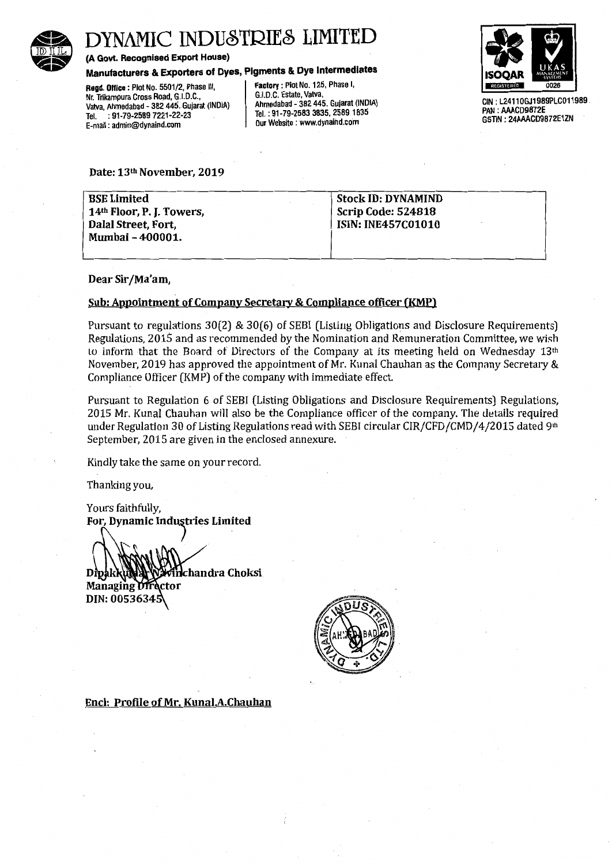

# DYNAMIC INDUSTRIES LIMITE

(A Govt. Recognised Export House)

Manufacturers & Exporters of Dyes, Pigments & Dye Intermediates

Regd. Office: Plot No. 5501/2, Phase III, Factory: Plot No. 125, Phase I,<br>Nr. Trikampura Cross Road. G.I.D.C.. G.I.D.C. Estate, Vatva, Nr. Trikampura Cross Road, G.I.D.C., (G.I.D.C. Estate, Vatva, G.I.D.A.)<br>Vatva, Ahmedabad - 382 445. Guiarat (INDIA) Ahmedabad - 382 445. Guiarat (INDIA) Vatva, Ahmedabad - 382 445. Gujarat (INDIA) (Ahmedabad - 382 445. Gujarat (INDI<br>Tel. : 91-79-2589 7221-22-23 Tel. : 91-79-2589 7221-22-23 Tel.: 91-79-2583 3835, 2589 18<br>E. mail: admin@dvgaind.com E-mail: admin@dynaind.com



GIN: L24110GJ1989PLC011989. PAN : AAACD9872E GSTIN: 24AAACD9872E1ZN

Date: 13th November, 2019

BSE Limited 14th Floor, P. J. Towers, Dalal Street, Fort, Mumbai- 400001. Stock ID: DYNAMIND Scrip Code: 524818 ISIN: INE457C01010

#### Dear Sir /Ma'am,

#### Sub: Appointment of Company Secretary & Compliance officer (KMP)

Pursuant to regulations 30(2) & 30(6) of SEBI (Listing Obligations and Disclosure Requirements) Regulations, 2015 and as recommended by the Nomination and Remuneration Committee, we wish Lo inform that the Board of Directors of the Company at its meeting held on Wednesday  $13<sup>th</sup>$ November, 2019 has approved the appointment of Mr. Kunal Chauhan as the Company Secretary & Compliance Officer (KMP) of the company with immediate effect.

Pursuant to Regulation 6 of SEBI (Listing Obligations and Disclosure Requirements) Regulations, 2015 Mr. Kunal Chauhan will also be the Compliance officer of the company. The details required under Regulation 30 of Listing Regulations read with SEBI circular CIR/CFD/CMD/4/2015 dated 9th September, 2015 are given in the enclosed annexure.

Kindly take the same on your record.

Thanking you,

Yours faithfully, For, Dynamic Industries Limited

.<br>אי hchandra Choksi Dipakkul Managing Director DIN: 00536345



Encl: Profile of Mr. Kunal.A.Chauhan